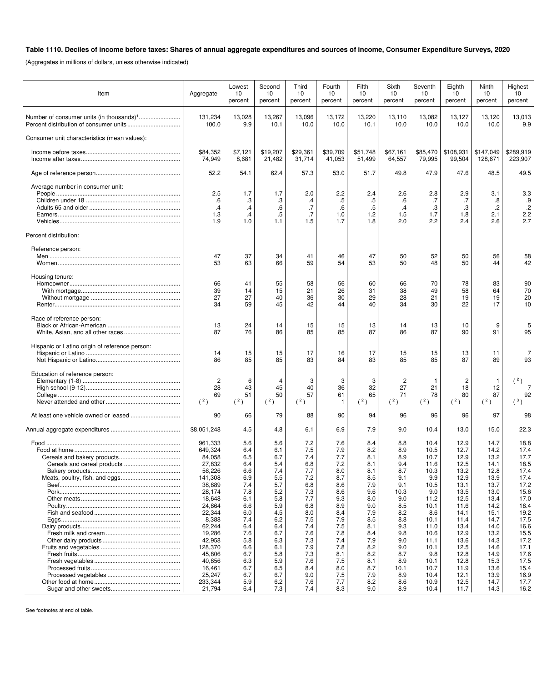## **Table 1110. Deciles of income before taxes: Shares of annual aggregate expenditures and sources of income, Consumer Expenditure Surveys, 2020**

(Aggregates in millions of dollars, unless otherwise indicated)

| Item                                           | Aggregate            | Lowest<br>10<br>percent | Second<br>10<br>percent | Third<br>10<br>percent | Fourth<br>10<br>percent | Fifth<br>10<br>percent  | Sixth<br>10<br>percent | Seventh<br>10<br>percent | Eighth<br>10<br>percent | Ninth<br>10<br>percent | Highest<br>10 <sup>1</sup><br>percent |
|------------------------------------------------|----------------------|-------------------------|-------------------------|------------------------|-------------------------|-------------------------|------------------------|--------------------------|-------------------------|------------------------|---------------------------------------|
|                                                | 131,234<br>100.0     | 13,028<br>9.9           | 13,267<br>10.1          | 13,096<br>10.0         | 13,172<br>10.0          | 13,220<br>10.1          | 13,110<br>10.0         | 13,082<br>10.0           | 13,127<br>10.0          | 13,120<br>10.0         | 13,013<br>9.9                         |
| Consumer unit characteristics (mean values):   |                      |                         |                         |                        |                         |                         |                        |                          |                         |                        |                                       |
|                                                | \$84,352<br>74,949   | \$7,121<br>8,681        | \$19,207<br>21,482      | \$29,361<br>31,714     | \$39,709<br>41,053      | \$51,748<br>51,499      | \$67,161<br>64,557     | \$85,470<br>79,995       | \$108,931<br>99,504     | \$147,049<br>128,671   | \$289,919<br>223,907                  |
|                                                | 52.2                 | 54.1                    | 62.4                    | 57.3                   | 53.0                    | 51.7                    | 49.8                   | 47.9                     | 47.6                    | 48.5                   | 49.5                                  |
| Average number in consumer unit:               |                      |                         |                         |                        |                         |                         |                        |                          |                         |                        |                                       |
|                                                | 2.5<br>.6<br>$\cdot$ | 1.7<br>.3<br>$\cdot$    | 1.7<br>.3<br>.6         | 2.0<br>$\cdot$<br>.7   | 2.2<br>$.5\,$<br>.6     | 2.4<br>$.5\,$<br>$.5\,$ | 2.6<br>.6<br>$\cdot$   | 2.8<br>.7<br>.3          | 2.9<br>.7<br>.3         | 3.1<br>.8<br>.2        | 3.3<br>.9<br>$\cdot$                  |
|                                                | 1.3<br>1.9           | $\cdot$ 4<br>1.0        | .5<br>1.1               | .7<br>1.5              | 1.0<br>1.7              | 1.2<br>1.8              | 1.5<br>2.0             | 1.7<br>2.2               | 1.8<br>2.4              | 2.1<br>2.6             | 2.2<br>2.7                            |
| Percent distribution:                          |                      |                         |                         |                        |                         |                         |                        |                          |                         |                        |                                       |
| Reference person:                              |                      |                         |                         |                        |                         |                         |                        |                          |                         |                        |                                       |
|                                                | 47<br>53             | 37<br>63                | 34<br>66                | 41<br>59               | 46<br>54                | 47<br>53                | 50<br>50               | 52<br>48                 | 50<br>50                | 56<br>44               | 58<br>42                              |
| Housing tenure:                                |                      |                         |                         |                        |                         |                         |                        |                          |                         |                        |                                       |
|                                                | 66<br>39             | 41<br>14                | 55<br>15                | 58<br>21               | 56<br>26                | 60<br>31                | 66<br>38               | 70<br>49                 | 78<br>58                | 83<br>64               | 90<br>70                              |
|                                                | 27<br>34             | 27<br>59                | 40<br>45                | 36<br>42               | 30<br>44                | 29<br>40                | 28<br>34               | 21<br>30                 | 19<br>22                | 19<br>17               | 20<br>10                              |
| Race of reference person:                      |                      |                         |                         |                        |                         |                         |                        |                          |                         |                        |                                       |
|                                                | 13<br>87             | 24<br>76                | 14<br>86                | 15<br>85               | 15<br>85                | 13<br>87                | 14<br>86               | 13<br>87                 | 10<br>90                | 9<br>91                | 95                                    |
| Hispanic or Latino origin of reference person: | 14<br>86             | 15<br>85                | 15<br>85                | 17<br>83               | 16<br>84                | 17<br>83                | 15<br>85               | 15<br>85                 | 13<br>87                | 11<br>89               | 93                                    |
| Education of reference person:                 |                      |                         |                         |                        |                         |                         |                        |                          |                         |                        |                                       |
|                                                | $\overline{c}$<br>28 | 6<br>43                 | 45                      | 3<br>40                | 3<br>36                 | 3<br>32                 | 2<br>27                | -1<br>21                 | 2<br>18                 | -1<br>12               | (2)<br>$\overline{7}$                 |
|                                                | 69                   | 51                      | 50                      | 57                     | 61                      | 65                      | 71                     | 78                       | 80                      | 87                     | 92                                    |
|                                                | (2)                  | (2)                     | (2)                     | $(^{2})$               | $\mathbf{1}$            | (2)                     | (2)                    | (2)                      | (2)                     | (2)                    | $(^3)$                                |
|                                                | 90                   | 66                      | 79                      | 88                     | 90                      | 94                      | 96                     | 96                       | 96                      | 97                     | 98                                    |
|                                                | \$8,051,248          | 4.5                     | 4.8                     | 6.1                    | 6.9                     | 7.9                     | 9.0                    | 10.4                     | 13.0                    | 15.0                   | 22.3                                  |
|                                                | 961.333              | 5.6                     | 5.6                     | 7.2                    | 7.6                     | 8.4                     | 8.8                    | 10.4                     | 12.9                    | 14.7                   | 18.8                                  |
|                                                | 649,324<br>84,058    | 6.4<br>6.5              | 6.1<br>6.7              | 7.5<br>7.4             | 7.9<br>7.7              | 8.2<br>8.1              | 8.9<br>8.9             | 10.5<br>10.7             | 12.7<br>12.9            | 14.2<br>13.2           | 17.4<br>17.7                          |
| Cereals and cereal products.                   | 27,832               | 6.4                     | 5.4                     | 6.8                    | 7.2                     | 8.1                     | 9.4                    | 11.6                     | 12.5                    | 14.1                   | 18.5                                  |
|                                                | 56,226               | 6.6                     | 7.4                     | 7.7                    | 8.0                     | 8.1                     | 8.7                    | 10.3                     | 13.2                    | 12.8                   | 17.4                                  |
|                                                | 141,308<br>38,889    | 6.9<br>7.4              | 5.5<br>5.7              | 7.2<br>6.8             | 8.7<br>8.6              | 8.5<br>7.9              | 9.1<br>9.1             | 9.9<br>10.5              | 12.9<br>13.1            | 13.9<br>13.7           | 17.4<br>17.2                          |
|                                                | 28,174               | 7.8                     | 5.2                     | 7.3                    | 8.6                     | 9.6                     | 10.3                   | 9.0                      | 13.5                    | 13.0                   | 15.6                                  |
|                                                | 18,648               | 6.1                     | 5.8                     | 7.7                    | 9.3                     | 8.0                     | 9.0                    | 11.2                     | 12.5                    | 13.4                   | 17.0                                  |
|                                                | 24,864               | 6.6                     | 5.9                     | 6.8                    | 8.9                     | 9.0                     | 8.5                    | 10.1                     | 11.6                    | 14.2                   | 18.4                                  |
|                                                | 22,344               | 6.0                     | 4.5                     | 8.0<br>7.5             | 8.4<br>7.9              | 7.9<br>8.5              | 8.2<br>8.8             | 8.6                      | 14.1                    | 15.1                   | 19.2<br>17.5                          |
|                                                | 8,388<br>62,244      | 7.4<br>6.4              | 6.2<br>6.4              | 7.4                    | 7.5                     | 8.1                     | 9.3                    | 10.1<br>11.0             | 11.4<br>13.4            | 14.7<br>14.0           | 16.6                                  |
|                                                | 19,286               | 7.6                     | 6.7                     | 7.6                    | 7.8                     | 8.4                     | 9.8                    | 10.6                     | 12.9                    | 13.2                   | 15.5                                  |
|                                                | 42,958               | 5.8                     | 6.3                     | 7.3                    | 7.4                     | 7.9                     | 9.0                    | 11.1                     | 13.6                    | 14.3                   | 17.2                                  |
|                                                | 128,370              | 6.6                     | 6.1                     | 7.9                    | 7.8                     | 8.2                     | 9.0                    | 10.1                     | 12.5                    | 14.6                   | 17.1                                  |
|                                                | 45,806               | 6.7                     | 5.8                     | 7.3                    | 8.1                     | 8.2                     | 8.7                    | 9.8                      | 12.8                    | 14.9                   | 17.6                                  |
|                                                | 40,856<br>16,461     | 6.3<br>6.7              | 5.9<br>6.5              | 7.6<br>8.4             | 7.5<br>8.0              | 8.1<br>8.7              | 8.9<br>10.1            | 10.1<br>10.7             | 12.8<br>11.9            | 15.3<br>13.6           | 17.5<br>15.4                          |
|                                                | 25,247               | 6.7                     | 6.7                     | 9.0                    | 7.5                     | 7.9                     | 8.9                    | 10.4                     | 12.1                    | 13.9                   | 16.9                                  |
|                                                | 233,344              | 5.9                     | 6.2                     | 7.6                    | 7.7                     | 8.2                     | 8.6                    | 10.9                     | 12.5                    | 14.7                   | 17.7                                  |
|                                                | 21,794               | 6.4                     | 7.3                     | 7.4                    | 8.3                     | 9.0                     | 8.9                    | 10.4                     | 11.7                    | 14.3                   | 16.2                                  |

See footnotes at end of table.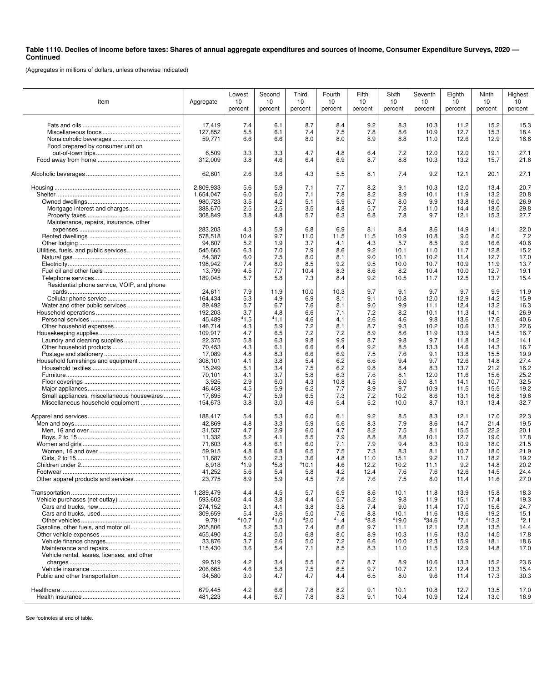## **Table 1110. Deciles of income before taxes: Shares of annual aggregate expenditures and sources of income, Consumer Expenditure Surveys, 2020 — Continued**

(Aggregates in millions of dollars, unless otherwise indicated)

| Item                                        | Aggregate         | Lowest<br>10<br>percent | Second<br>10<br>percent | Third<br>10<br>percent | Fourth<br>10<br>percent | Fifth<br>10<br>percent | Sixth<br>10<br>percent | Seventh<br>10<br>percent | Eighth<br>10<br>percent | Ninth<br>10<br>percent | Highest<br>10<br>percent |
|---------------------------------------------|-------------------|-------------------------|-------------------------|------------------------|-------------------------|------------------------|------------------------|--------------------------|-------------------------|------------------------|--------------------------|
|                                             | 17,419            | 7.4                     | 6.1                     | 8.7                    | 8.4                     | 9.2                    | 8.3                    | 10.3                     | 11.2                    | 15.2                   | 15.3                     |
|                                             | 127,852           | 5.5                     | 6.1                     | 7.4                    | 7.5                     | 7.8                    | 8.6                    | 10.9                     | 12.7                    | 15.3                   | 18.4                     |
|                                             | 59,771            | 6.6                     | 6.6                     | 8.0                    | 8.0                     | 8.9                    | 8.8                    | 11.0                     | 12.6                    | 12.9                   | 16.6                     |
| Food prepared by consumer unit on           |                   |                         |                         |                        |                         |                        |                        |                          |                         |                        |                          |
|                                             | 6,509             | 3.3                     | 3.3                     | 4.7                    | 4.8                     | 6.4                    | 7.2                    | 12.0                     | 12.0                    | 19.1                   | 27.1                     |
|                                             | 312,009           | 3.8                     | 4.6                     | 6.4                    | 6.9                     | 8.7                    | 8.8                    | 10.3                     | 13.2                    | 15.7                   | 21.6                     |
|                                             |                   |                         |                         |                        |                         |                        |                        |                          |                         |                        |                          |
|                                             | 62,801            | 2.6                     | 3.6                     | 4.3                    | 5.5                     | 8.1                    | 7.4                    | 9.2                      | 12.1                    | 20.1                   | 27.1                     |
|                                             | 2,809,933         | 5.6                     | 5.9                     | 7.1                    | 7.7                     | 8.2                    | 9.1                    | 10.3                     | 12.0                    | 13.4                   | 20.7                     |
|                                             | 1,654,047         | 6.0                     | 6.0                     | 7.1                    | 7.8                     | 8.2                    | 8.9                    | 10.1                     | 11.9                    | 13.2                   | 20.8                     |
|                                             | 980,723           | 3.5                     | 4.2                     | 5.1                    | 5.9                     | 6.7                    | 8.0                    | 9.9                      | 13.8                    | 16.0                   | 26.9                     |
|                                             | 388,670           | 2.5                     | 2.5                     | 3.5                    | 4.8                     | 5.7                    | 7.8                    | 11.0                     | 14.4                    | 18.0                   | 29.8                     |
|                                             | 308,849           | 3.8                     | 4.8                     | 5.7                    | 6.3                     | 6.8                    | 7.8                    | 9.7                      | 12.1                    | 15.3                   | 27.7                     |
| Maintenance, repairs, insurance, other      |                   |                         |                         |                        |                         |                        |                        |                          |                         |                        |                          |
|                                             | 283,203           | 4.3                     | 5.9                     | 6.8                    | 6.9                     | 8.1                    | 8.4                    | 8.6                      | 14.9                    | 14.1                   | 22.0                     |
|                                             | 578,518           | 10.4                    | 9.7                     | 11.0                   | 11.5                    | 11.5                   | 10.9                   | 10.8                     | 9.0                     | 8.0                    | 7.2                      |
|                                             | 94,807            | 5.2                     | 1.9                     | 3.7                    | 4.1                     | 4.3                    | 5.7                    | 8.5                      | 9.6                     | 16.6                   | 40.6                     |
|                                             | 545,665           | 6.3                     | 7.0                     | 7.9                    | 8.6                     | 9.2                    | 10.1                   | 11.0                     | 11.7                    | 12.8                   | 15.2                     |
|                                             | 54,387            | 6.0                     | 7.5                     | 8.0                    | 8.1                     | 9.0                    | 10.1                   | 10.2                     | 11.4                    | 12.7                   | 17.0                     |
|                                             | 198,942           | 7.4                     | 8.0                     | 8.5                    | 9.2                     | 9.5                    | 10.0                   | 10.7                     | 10.9                    | 11.9                   | 13.7                     |
|                                             | 13,799            | 4.5                     | 7.7                     | 10.4                   | 8.3                     | 8.6                    | 8.2                    | 10.4                     | 10.0                    | 12.7                   | 19.1                     |
|                                             | 189,045           | 5.7                     | 5.8                     | 7.3                    | 8.4                     | 9.2                    | 10.5                   | 11.7                     | 12.5                    | 13.7                   | 15.4                     |
| Residential phone service, VOIP, and phone  |                   |                         |                         |                        |                         |                        |                        |                          |                         |                        |                          |
|                                             | 24,611            | 7.9                     | 11.9                    | 10.0                   | 10.3                    | 9.7                    | 9.1                    | 9.7                      | 9.7                     | 9.9                    | 11.9                     |
|                                             | 164,434           | 5.3                     | 4.9                     | 6.9                    | 8.1                     | 9.1                    | 10.8                   | 12.0                     | 12.9                    | 14.2                   | 15.9                     |
|                                             | 89,492            | 5.7                     | 6.7                     | 7.6                    | 8.1                     | 9.0                    | 9.9                    | 11.1                     | 12.4                    | 13.2                   | 16.3                     |
|                                             | 192,203           | 3.7                     | 4.8<br>41.1             | 6.6                    | 7.1                     | 7.2                    | 8.2                    | 10.1                     | 11.3                    | 14.1                   | 26.9                     |
|                                             | 45,489<br>146,714 | 41.5<br>4.3             | 5.9                     | 4.6<br>7.2             | 4.1<br>8.1              | 2.6<br>8.7             | 4.6<br>9.3             | 9.8<br>10.2              | 13.6<br>10.6            | 17.6<br>13.1           | 40.6<br>22.6             |
|                                             | 109,917           | 4.7                     | 6.5                     | 7.2                    | 7.2                     | 8.9                    | 8.6                    | 11.9                     | 13.9                    | 14.5                   | 16.7                     |
|                                             | 22,375            | 5.8                     | 6.3                     | 9.8                    | 9.9                     | 8.7                    | 9.8                    | 9.7                      | 11.8                    | 14.2                   | 14.1                     |
|                                             | 70,453            | 4.3                     | 6.1                     | 6.6                    | 6.4                     | 9.2                    | 8.5                    | 13.3                     | 14.6                    | 14.3                   | 16.7                     |
|                                             | 17,089            | 4.8                     | 8.3                     | 6.6                    | 6.9                     | 7.5                    | 7.6                    | 9.1                      | 13.8                    | 15.5                   | 19.9                     |
|                                             | 308,101           | 4.1                     | 3.8                     | 5.4                    | 6.2                     | 6.6                    | 9.4                    | 9.7                      | 12.6                    | 14.8                   | 27.4                     |
|                                             | 15,249            | 5.1                     | 3.4                     | 7.5                    | 6.2                     | 9.8                    | 8.4                    | 8.3                      | 13.7                    | 21.2                   | 16.2                     |
|                                             | 70,101            | 4.1                     | 3.7                     | 5.8                    | 6.3                     | 7.6                    | 8.1                    | 12.0                     | 11.6                    | 15.6                   | 25.2                     |
|                                             | 3,925             | 2.9                     | 6.0                     | 4.3                    | 10.8                    | 4.5                    | 6.0                    | 8.1                      | 14.1                    | 10.7                   | 32.5                     |
|                                             | 46,458            | 4.5                     | 5.9                     | 6.2                    | 7.7                     | 8.9                    | 9.7                    | 10.9                     | 11.5                    | 15.5                   | 19.2                     |
| Small appliances, miscellaneous housewares  | 17,695            | 4.7                     | 5.9                     | 6.5                    | 7.3                     | 7.2                    | 10.2                   | 8.6                      | 13.1                    | 16.8                   | 19.6                     |
|                                             | 154,673           | 3.8                     | 3.0                     | 4.6                    | 5.4                     | 5.2                    | 10.0                   | 8.7                      | 13.1                    | 13.4                   | 32.7                     |
|                                             | 188,417           | 5.4                     | 5.3                     | 6.0                    | 6.1                     | 9.2                    | 8.5                    | 8.3                      | 12.1                    | 17.0                   | 22.3                     |
|                                             | 42,869            | 4.8                     | 3.3                     | 5.9                    | 5.6                     | 8.3                    | 7.9                    | 8.6                      | 14.7                    | 21.4                   | 19.5                     |
|                                             | 31,537            | 4.7                     | 2.9                     | 6.0                    | 4.7                     | 8.2                    | 7.5                    | 8.1                      | 15.5                    | 22.2                   | 20.1                     |
|                                             | 11,332            | 5.2                     | 4.1                     | 5.5                    | 7.9                     | 8.8                    | 8.8                    | 10.1                     | 12.7                    | 19.0                   | 17.8                     |
|                                             | 71,603            | 4.8                     | 6.1                     | 6.0                    | 7.1                     | 7.9                    | 9.4                    | 8.3                      | 10.9                    | 18.0                   | 21.5                     |
|                                             | 59,915            | 4.8                     | 6.8                     | 6.5                    | 7.5                     | 7.3                    | 8.3                    | 8.1                      | 10.7                    | 18.0                   | 21.9                     |
|                                             | 11,687            | 5.0                     | 2.3                     | 3.6                    | 4.8                     | 11.0                   | 15.1                   | 9.2                      | 11.7                    | 18.2                   | 19.2                     |
|                                             | 8,918             | 41.9                    | 45.8                    | 410.1                  | 4.6                     | 12.2                   | 10.2                   | 11.1                     | 9.2                     | 14.8                   | 20.2                     |
|                                             | 41,252            | 5.6                     | 5.4                     | 5.8                    | 4.2                     | 12.4                   | 7.6                    | 7.6                      | 12.6                    | 14.5                   | 24.4                     |
|                                             | 23,775            | 8.9                     | 5.9                     | 4.5                    | 7.6                     | 7.6                    | 7.5                    | 8.0                      | 11.4                    | 11.6                   | 27.0                     |
|                                             | 1,289,479         | 4.4                     | 4.5                     | 5.7                    | 6.9                     | 8.6                    | 10.1                   | 11.8                     | 13.9                    | 15.8                   | 18.3                     |
|                                             | 593,602           | 4.4                     | 3.8                     | 4.4                    | 5.7                     | 8.2                    | 9.8                    | 11.9                     | 15.1                    | 17.4                   | 19.3                     |
|                                             | 274,152           | 3.1                     | 4.1                     | 3.8                    | 3.8                     | 7.4                    | 9.0                    | 11.4                     | 17.0                    | 15.6                   | 24.7                     |
|                                             | 309.659           | 5.4                     | 3.6                     | 5.0                    | 7.6                     | 8.8                    | 10.1                   | 11.6                     | 13.6                    | 19.2                   | 15.1                     |
|                                             | 9,791             | 410.7                   | 41.0                    | 42.0                   | 41.4                    | 48.8                   | 419.0                  | 434.6                    | 47.1                    | 413.3                  | 42.1                     |
|                                             | 205,806           | 5.2                     | 5.3                     | 7.4                    | 8.6                     | 9.7                    | 11.1                   | 12.1                     | 12.8                    | 13.5                   | 14.4                     |
|                                             | 455,490           | 4.2                     | 5.0                     | 6.8                    | 8.0                     | 8.9                    | 10.3                   | 11.6                     | 13.0                    | 14.5                   | 17.8                     |
|                                             | 33,876            | 3.7                     | 2.6                     | 5.0                    | 7.2                     | 6.6                    | 10.0                   | 12.3                     | 15.9                    | 18.1                   | 18.6                     |
|                                             | 115,430           | 3.6                     | 5.4                     | 7.1                    | 8.5                     | 8.3                    | 11.0                   | 11.5                     | 12.9                    | 14.8                   | 17.0                     |
| Vehicle rental, leases, licenses, and other |                   |                         |                         |                        |                         |                        |                        |                          |                         |                        |                          |
|                                             | 99,519            | 4.2                     | 3.4                     | 5.5                    | 6.7                     | 8.7                    | 8.9                    | 10.6                     | 13.3                    | 15.2                   | 23.6                     |
|                                             | 206,665           | 4.6                     | 5.8                     | 7.5                    | 8.5                     | 9.7                    | 10.7                   | 12.1                     | 12.4                    | 13.3                   | 15.4                     |
|                                             | 34,580            | 3.0                     | 4.7                     | 4.7                    | 4.4                     | 6.5                    | 8.0                    | 9.6                      | 11.4                    | 17.3                   | 30.3                     |
|                                             | 679,445           | 4.2                     | 6.6                     | 7.8                    | 8.2                     | 9.1                    | 10.1                   | 10.8                     | 12.7                    | 13.5                   | 17.0                     |
|                                             | 481,223           | 4.4                     | 6.7                     | 7.8                    | 8.3                     | 9.1                    | 10.4                   | 10.9                     | 12.4                    | 13.0                   | 16.9                     |
|                                             |                   |                         |                         |                        |                         |                        |                        |                          |                         |                        |                          |

See footnotes at end of table.